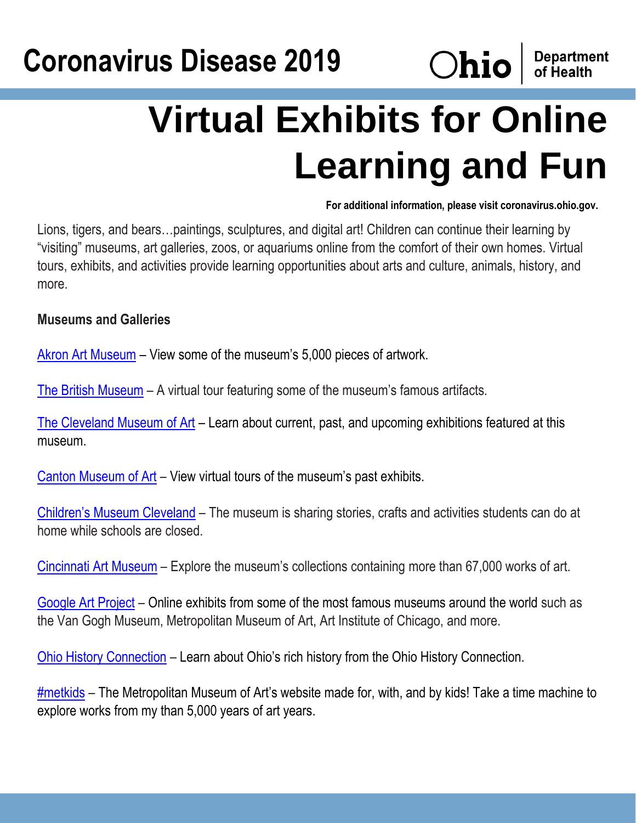## **Coronavirus Disease 2019**



## **Virtual Exhibits for Online Learning and Fun**

**For additional information, please visit coronavirus.ohio.gov.**

Lions, tigers, and bears…paintings, sculptures, and digital art! Children can continue their learning by "visiting" museums, art galleries, zoos, or aquariums online from the comfort of their own homes. Virtual tours, exhibits, and activities provide learning opportunities about arts and culture, animals, history, and more.

## **Museums and Galleries**

[Akron Art Museum](https://akronartmuseum.org/collection/) – View some of the museum's 5,000 pieces of artwork.

[The British Museum](https://britishmuseum.withgoogle.com/) – A virtual tour featuring some of the museum's famous artifacts.

[The Cleveland Museum of Art](https://www.clevelandart.org/exhibitions) – Learn about current, past, and upcoming exhibitions featured at this museum.

[Canton Museum of Art](https://www.cantonart.org/exhibits/virtual-gallery) – View virtual tours of the museum's past exhibits.

[Children's Museum Cleveland](https://cmcleveland.org/virtual-programs/) – The museum is sharing stories, crafts and activities students can do at home while schools are closed.

[Cincinnati Art Museum](https://www.cincinnatiartmuseum.org/art/explore-the-collection/) – Explore the museum's collections containing more than 67,000 works of art.

[Google Art Project](https://artsandculture.google.com/partner?hl=en) – Online exhibits from some of the most famous museums around the world such as the Van Gogh Museum, Metropolitan Museum of Art, Art Institute of Chicago, and more.

[Ohio History Connection](https://www.ohiohistory.org/learn) – Learn about Ohio's rich history from the Ohio History Connection.

[#metkids](https://www.metmuseum.org/art/online-features/metkids/) – The Metropolitan Museum of Art's website made for, with, and by kids! Take a time machine to explore works from my than 5,000 years of art years.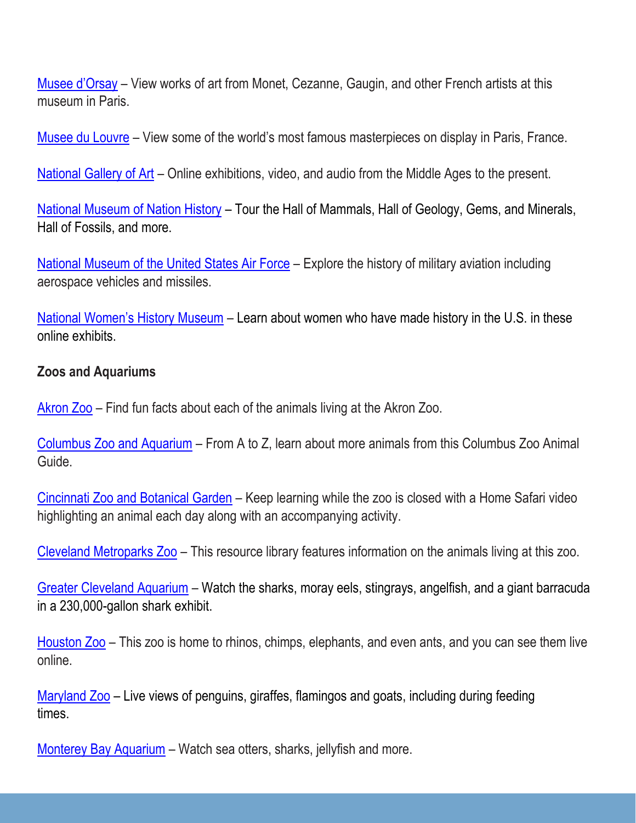[Musee d'Orsay](https://artsandculture.google.com/partner/musee-dorsay-paris?hl=fr) – View works of art from Monet, Cezanne, Gaugin, and other French artists at this museum in Paris.

[Musee du Louvre](https://www.louvre.fr/en/visites-en-ligne) – View some of the world's most famous masterpieces on display in Paris, France.

[National Gallery of Art](https://www.nga.gov/) – Online exhibitions, video, and audio from the Middle Ages to the present.

[National Museum of Nation History](https://naturalhistory.si.edu/visit/virtual-tour) – Tour the Hall of Mammals, Hall of Geology, Gems, and Minerals, Hall of Fossils, and more.

[National Museum of the United States Air Force](https://www.nationalmuseum.af.mil/Visit/Museum-Exhibits/) – Explore the history of military aviation including aerospace vehicles and missiles.

[National Women's History Museum](https://www.womenshistory.org/womens-history/online-exhibits) – Learn about women who have made history in the U.S. in these online exhibits.

## **Zoos and Aquariums**

[Akron Zoo](https://www.akronzoo.org/animals) – Find fun facts about each of the animals living at the Akron Zoo.

[Columbus Zoo and Aquarium](https://www.columbuszoo.org/guide/index.html) – From A to Z, learn about more animals from this Columbus Zoo Animal Guide.

[Cincinnati Zoo and Botanical Garden](http://cincinnatizoo.org/home-safari-resources/) – Keep learning while the zoo is closed with a Home Safari video highlighting an animal each day along with an accompanying activity.

[Cleveland Metroparks Zoo](https://resourcelibrary.clemetzoo.com/Animal/Details) – This resource library features information on the animals living at this zoo.

[Greater Cleveland Aquarium](https://www.greaterclevelandaquarium.com/see-do/see/shark-cam/) – Watch the sharks, moray eels, stingrays, angelfish, and a giant barracuda in a 230,000-gallon shark exhibit.

[Houston Zoo](https://www.houstonzoo.org/explore/webcams/) – This zoo is home to rhinos, chimps, elephants, and even ants, and you can see them live online.

[Maryland Zoo](https://www.marylandzoo.org/animals/live-cams-feeds/) – Live views of penguins, giraffes, flamingos and goats, including during feeding times.

[Monterey Bay Aquarium](https://www.montereybayaquarium.org/animals/live-cams) – Watch sea otters, sharks, jellyfish and more.